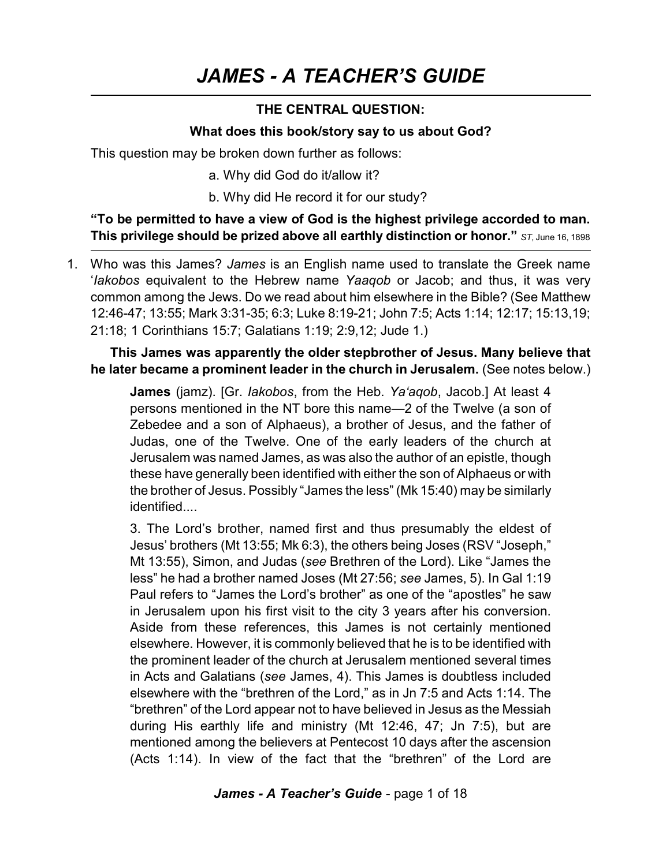# **THE CENTRAL QUESTION:**

### **What does this book/story say to us about God?**

This question may be broken down further as follows:

a. Why did God do it/allow it?

b. Why did He record it for our study?

# **"To be permitted to have a view of God is the highest privilege accorded to man. This privilege should be prized above all earthly distinction or honor."** *ST*, June 16, <sup>1898</sup>

1. Who was this James? *James* is an English name used to translate the Greek name '*Iakobos* equivalent to the Hebrew name *Yaaqob* or Jacob; and thus, it was very common among the Jews. Do we read about him elsewhere in the Bible? (See Matthew 12:46-47; 13:55; Mark 3:31-35; 6:3; Luke 8:19-21; John 7:5; Acts 1:14; 12:17; 15:13,19; 21:18; 1 Corinthians 15:7; Galatians 1:19; 2:9,12; Jude 1.)

## **This James was apparently the older stepbrother of Jesus. Many believe that he later became a prominent leader in the church in Jerusalem.** (See notes below.)

**James** (jamz). [Gr. *Iakobos*, from the Heb. *Ya'aqob*, Jacob.] At least 4 persons mentioned in the NT bore this name—2 of the Twelve (a son of Zebedee and a son of Alphaeus), a brother of Jesus, and the father of Judas, one of the Twelve. One of the early leaders of the church at Jerusalem was named James, as was also the author of an epistle, though these have generally been identified with either the son of Alphaeus or with the brother of Jesus. Possibly "James the less" (Mk 15:40) may be similarly identified....

3. The Lord's brother, named first and thus presumably the eldest of Jesus' brothers (Mt 13:55; Mk 6:3), the others being Joses (RSV "Joseph," Mt 13:55), Simon, and Judas (*see* Brethren of the Lord). Like "James the less" he had a brother named Joses (Mt 27:56; *see* James, 5). In Gal 1:19 Paul refers to "James the Lord's brother" as one of the "apostles" he saw in Jerusalem upon his first visit to the city 3 years after his conversion. Aside from these references, this James is not certainly mentioned elsewhere. However, it is commonly believed that he is to be identified with the prominent leader of the church at Jerusalem mentioned several times in Acts and Galatians (*see* James, 4). This James is doubtless included elsewhere with the "brethren of the Lord," as in Jn 7:5 and Acts 1:14. The "brethren" of the Lord appear not to have believed in Jesus as the Messiah during His earthly life and ministry (Mt 12:46, 47; Jn 7:5), but are mentioned among the believers at Pentecost 10 days after the ascension (Acts 1:14). In view of the fact that the "brethren" of the Lord are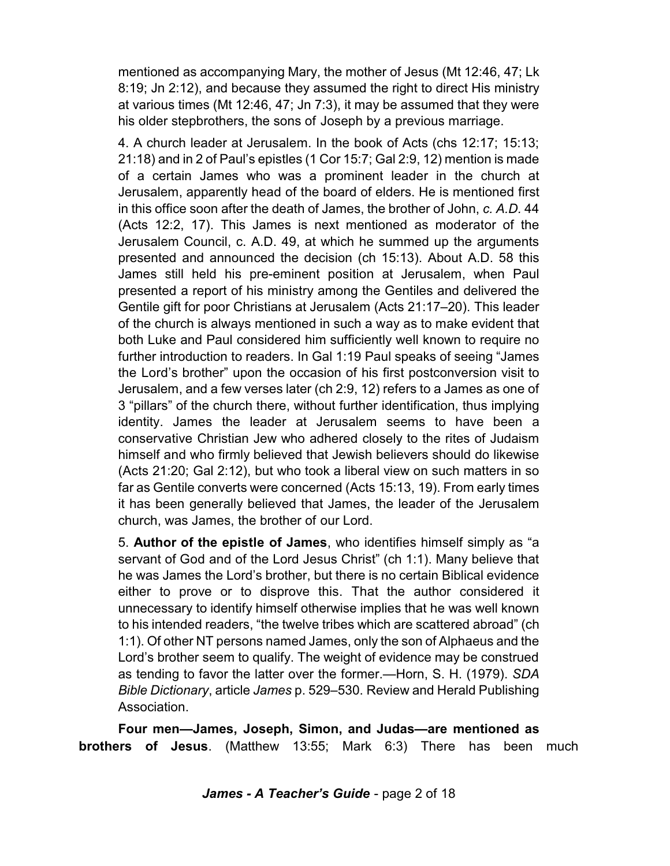mentioned as accompanying Mary, the mother of Jesus (Mt 12:46, 47; Lk 8:19; Jn 2:12), and because they assumed the right to direct His ministry at various times (Mt 12:46, 47; Jn 7:3), it may be assumed that they were his older stepbrothers, the sons of Joseph by a previous marriage.

4. A church leader at Jerusalem. In the book of Acts (chs 12:17; 15:13; 21:18) and in 2 of Paul's epistles (1 Cor 15:7; Gal 2:9, 12) mention is made of a certain James who was a prominent leader in the church at Jerusalem, apparently head of the board of elders. He is mentioned first in this office soon after the death of James, the brother of John, *c. A.D.* 44 (Acts 12:2, 17). This James is next mentioned as moderator of the Jerusalem Council, c. A.D. 49, at which he summed up the arguments presented and announced the decision (ch 15:13). About A.D. 58 this James still held his pre-eminent position at Jerusalem, when Paul presented a report of his ministry among the Gentiles and delivered the Gentile gift for poor Christians at Jerusalem (Acts 21:17–20). This leader of the church is always mentioned in such a way as to make evident that both Luke and Paul considered him sufficiently well known to require no further introduction to readers. In Gal 1:19 Paul speaks of seeing "James the Lord's brother" upon the occasion of his first postconversion visit to Jerusalem, and a few verses later (ch 2:9, 12) refers to a James as one of 3 "pillars" of the church there, without further identification, thus implying identity. James the leader at Jerusalem seems to have been a conservative Christian Jew who adhered closely to the rites of Judaism himself and who firmly believed that Jewish believers should do likewise (Acts 21:20; Gal 2:12), but who took a liberal view on such matters in so far as Gentile converts were concerned (Acts 15:13, 19). From early times it has been generally believed that James, the leader of the Jerusalem church, was James, the brother of our Lord.

5. **Author of the epistle of James**, who identifies himself simply as "a servant of God and of the Lord Jesus Christ" (ch 1:1). Many believe that he was James the Lord's brother, but there is no certain Biblical evidence either to prove or to disprove this. That the author considered it unnecessary to identify himself otherwise implies that he was well known to his intended readers, "the twelve tribes which are scattered abroad" (ch 1:1). Of other NT persons named James, only the son of Alphaeus and the Lord's brother seem to qualify. The weight of evidence may be construed as tending to favor the latter over the former.—Horn, S. H. (1979). *SDA Bible Dictionary*, article *James* p. 529–530. Review and Herald Publishing Association.

**Four men—James, Joseph, Simon, and Judas—are mentioned as brothers of Jesus**. (Matthew 13:55; Mark 6:3) There has been much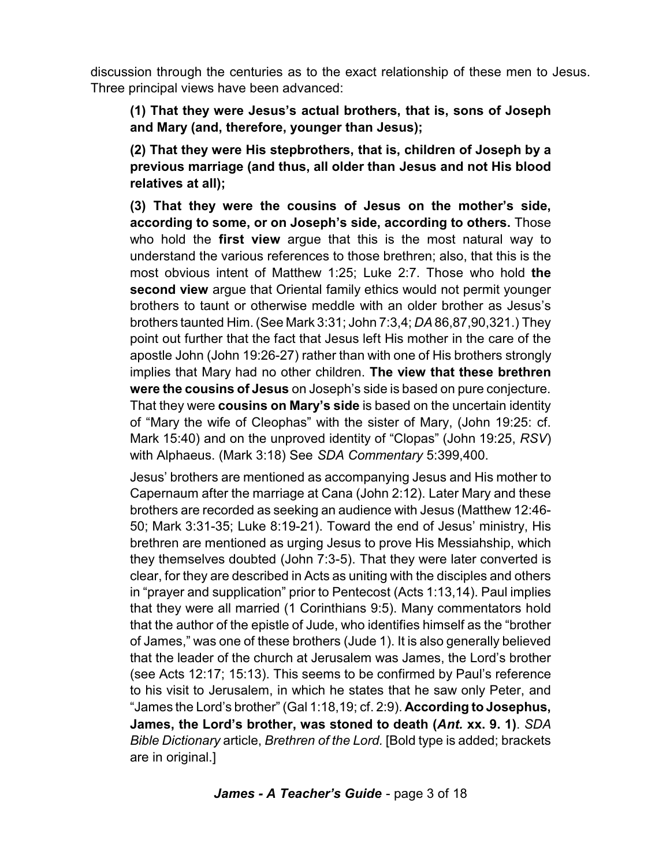discussion through the centuries as to the exact relationship of these men to Jesus. Three principal views have been advanced:

**(1) That they were Jesus's actual brothers, that is, sons of Joseph and Mary (and, therefore, younger than Jesus);**

**(2) That they were His stepbrothers, that is, children of Joseph by a previous marriage (and thus, all older than Jesus and not His blood relatives at all);**

**(3) That they were the cousins of Jesus on the mother's side, according to some, or on Joseph's side, according to others.** Those who hold the **first view** argue that this is the most natural way to understand the various references to those brethren; also, that this is the most obvious intent of Matthew 1:25; Luke 2:7. Those who hold **the second view** argue that Oriental family ethics would not permit younger brothers to taunt or otherwise meddle with an older brother as Jesus's brothers taunted Him. (See Mark 3:31; John 7:3,4; *DA*86,87,90,321.) They point out further that the fact that Jesus left His mother in the care of the apostle John (John 19:26-27) rather than with one of His brothers strongly implies that Mary had no other children. **The view that these brethren were the cousins of Jesus** on Joseph's side is based on pure conjecture. That they were **cousins on Mary's side** is based on the uncertain identity of "Mary the wife of Cleophas" with the sister of Mary, (John 19:25: cf. Mark 15:40) and on the unproved identity of "Clopas" (John 19:25, *RSV*) with Alphaeus. (Mark 3:18) See *SDA Commentary* 5:399,400.

Jesus' brothers are mentioned as accompanying Jesus and His mother to Capernaum after the marriage at Cana (John 2:12). Later Mary and these brothers are recorded as seeking an audience with Jesus (Matthew 12:46- 50; Mark 3:31-35; Luke 8:19-21). Toward the end of Jesus' ministry, His brethren are mentioned as urging Jesus to prove His Messiahship, which they themselves doubted (John 7:3-5). That they were later converted is clear, for they are described in Acts as uniting with the disciples and others in "prayer and supplication" prior to Pentecost (Acts 1:13,14). Paul implies that they were all married (1 Corinthians 9:5). Many commentators hold that the author of the epistle of Jude, who identifies himself as the "brother of James," was one of these brothers (Jude 1). It is also generally believed that the leader of the church at Jerusalem was James, the Lord's brother (see Acts 12:17; 15:13). This seems to be confirmed by Paul's reference to his visit to Jerusalem, in which he states that he saw only Peter, and "James the Lord's brother" (Gal 1:18,19; cf. 2:9). **According to Josephus, James, the Lord's brother, was stoned to death (***Ant.* **xx. 9. 1)**. *SDA Bible Dictionary* article, *Brethren of the Lord.* [Bold type is added; brackets are in original.]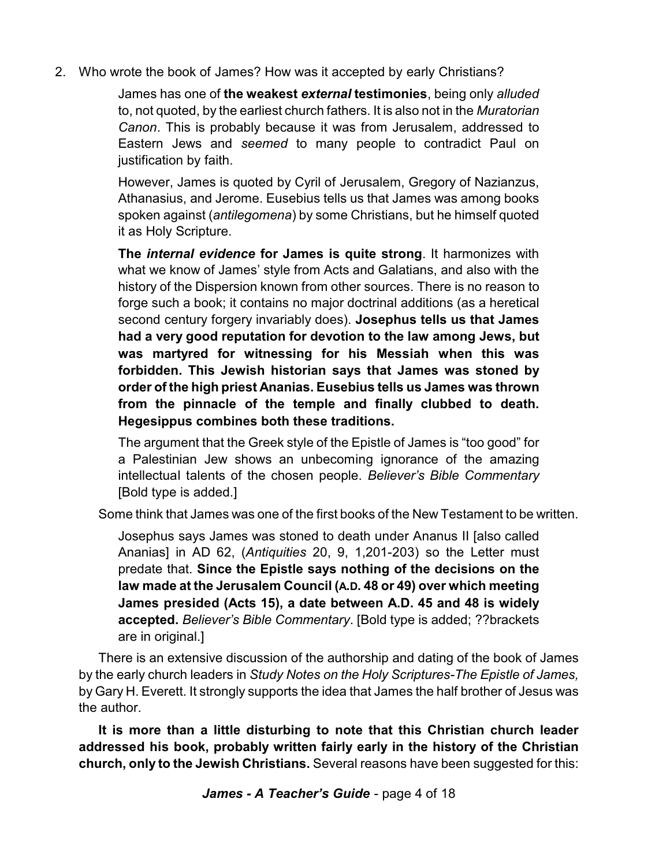2. Who wrote the book of James? How was it accepted by early Christians?

James has one of **the weakest** *external* **testimonies**, being only *alluded* to, not quoted, by the earliest church fathers. It is also not in the *Muratorian Canon*. This is probably because it was from Jerusalem, addressed to Eastern Jews and *seemed* to many people to contradict Paul on justification by faith.

However, James is quoted by Cyril of Jerusalem, Gregory of Nazianzus, Athanasius, and Jerome. Eusebius tells us that James was among books spoken against (*antilegomena*) by some Christians, but he himself quoted it as Holy Scripture.

**The** *internal evidence* **for James is quite strong**. It harmonizes with what we know of James' style from Acts and Galatians, and also with the history of the Dispersion known from other sources. There is no reason to forge such a book; it contains no major doctrinal additions (as a heretical second century forgery invariably does). **Josephus tells us that James had a very good reputation for devotion to the law among Jews, but was martyred for witnessing for his Messiah when this was forbidden. This Jewish historian says that James was stoned by order of the high priest Ananias. Eusebius tells us James was thrown from the pinnacle of the temple and finally clubbed to death. Hegesippus combines both these traditions.**

The argument that the Greek style of the Epistle of James is "too good" for a Palestinian Jew shows an unbecoming ignorance of the amazing intellectual talents of the chosen people. *Believer's Bible Commentary* [Bold type is added.]

Some think that James was one of the first books of the New Testament to be written.

Josephus says James was stoned to death under Ananus II [also called Ananias] in AD 62, (*Antiquities* 20, 9, 1,201-203) so the Letter must predate that. **Since the Epistle says nothing of the decisions on the law made at the Jerusalem Council (A.D. 48 or 49) over which meeting James presided (Acts 15), a date between A.D. 45 and 48 is widely accepted.** *Believer's Bible Commentary*. [Bold type is added; ??brackets are in original.]

There is an extensive discussion of the authorship and dating of the book of James by the early church leaders in *Study Notes on the Holy Scriptures-The Epistle of James,* by Gary H. Everett. It strongly supports the idea that James the half brother of Jesus was the author.

**It is more than a little disturbing to note that this Christian church leader addressed his book, probably written fairly early in the history of the Christian church, only to the Jewish Christians.** Several reasons have been suggested for this: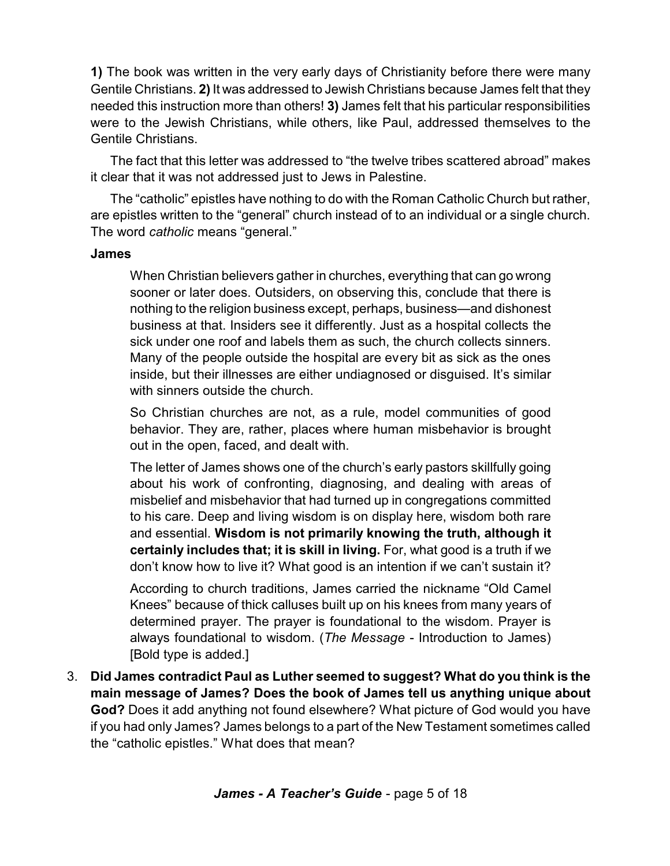**1)** The book was written in the very early days of Christianity before there were many Gentile Christians. **2)**It was addressed to Jewish Christians because James felt that they needed this instruction more than others! **3)** James felt that his particular responsibilities were to the Jewish Christians, while others, like Paul, addressed themselves to the Gentile Christians.

The fact that this letter was addressed to "the twelve tribes scattered abroad" makes it clear that it was not addressed just to Jews in Palestine.

The "catholic" epistles have nothing to do with the Roman Catholic Church but rather, are epistles written to the "general" church instead of to an individual or a single church. The word *catholic* means "general."

#### **James**

When Christian believers gather in churches, everything that can go wrong sooner or later does. Outsiders, on observing this, conclude that there is nothing to the religion business except, perhaps, business—and dishonest business at that. Insiders see it differently. Just as a hospital collects the sick under one roof and labels them as such, the church collects sinners. Many of the people outside the hospital are every bit as sick as the ones inside, but their illnesses are either undiagnosed or disguised. It's similar with sinners outside the church.

So Christian churches are not, as a rule, model communities of good behavior. They are, rather, places where human misbehavior is brought out in the open, faced, and dealt with.

The letter of James shows one of the church's early pastors skillfully going about his work of confronting, diagnosing, and dealing with areas of misbelief and misbehavior that had turned up in congregations committed to his care. Deep and living wisdom is on display here, wisdom both rare and essential. **Wisdom is not primarily knowing the truth, although it certainly includes that; it is skill in living.** For, what good is a truth if we don't know how to live it? What good is an intention if we can't sustain it?

According to church traditions, James carried the nickname "Old Camel Knees" because of thick calluses built up on his knees from many years of determined prayer. The prayer is foundational to the wisdom. Prayer is always foundational to wisdom. (*The Message* - Introduction to James) [Bold type is added.]

3. **Did James contradict Paul as Luther seemed to suggest? What do you think is the main message of James? Does the book of James tell us anything unique about God?** Does it add anything not found elsewhere? What picture of God would you have if you had only James? James belongs to a part of the New Testament sometimes called the "catholic epistles." What does that mean?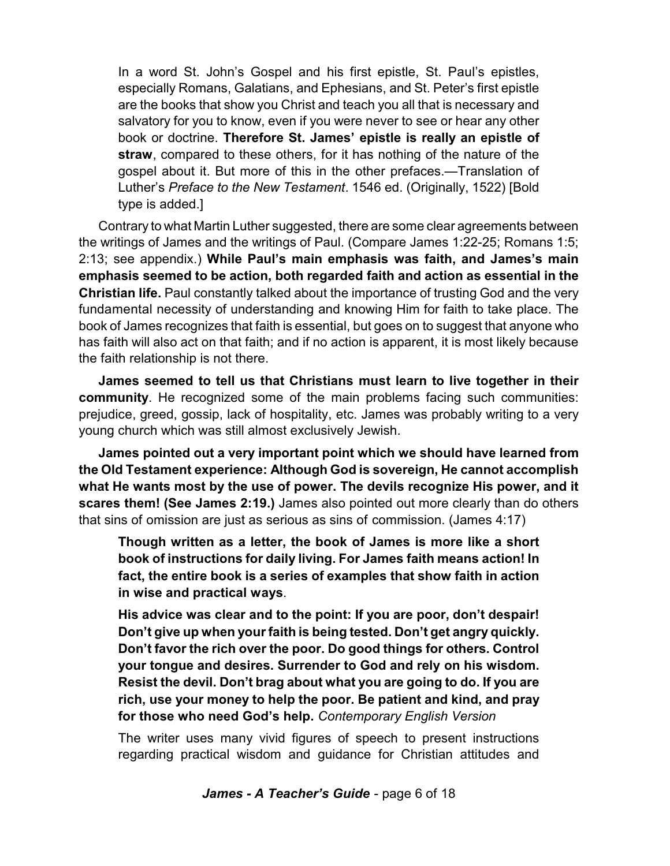In a word St. John's Gospel and his first epistle, St. Paul's epistles, especially Romans, Galatians, and Ephesians, and St. Peter's first epistle are the books that show you Christ and teach you all that is necessary and salvatory for you to know, even if you were never to see or hear any other book or doctrine. **Therefore St. James' epistle is really an epistle of straw**, compared to these others, for it has nothing of the nature of the gospel about it. But more of this in the other prefaces.—Translation of Luther's *Preface to the New Testament*. 1546 ed. (Originally, 1522) [Bold type is added.]

Contrary to what Martin Luther suggested, there are some clear agreements between the writings of James and the writings of Paul. (Compare James 1:22-25; Romans 1:5; 2:13; see appendix.) **While Paul's main emphasis was faith, and James's main emphasis seemed to be action, both regarded faith and action as essential in the Christian life.** Paul constantly talked about the importance of trusting God and the very fundamental necessity of understanding and knowing Him for faith to take place. The book of James recognizes that faith is essential, but goes on to suggest that anyone who has faith will also act on that faith; and if no action is apparent, it is most likely because the faith relationship is not there.

**James seemed to tell us that Christians must learn to live together in their community**. He recognized some of the main problems facing such communities: prejudice, greed, gossip, lack of hospitality, etc. James was probably writing to a very young church which was still almost exclusively Jewish.

**James pointed out a very important point which we should have learned from the Old Testament experience: Although God is sovereign, He cannot accomplish what He wants most by the use of power. The devils recognize His power, and it scares them! (See James 2:19.)** James also pointed out more clearly than do others that sins of omission are just as serious as sins of commission. (James 4:17)

**Though written as a letter, the book of James is more like a short book of instructions for daily living. For James faith means action! In fact, the entire book is a series of examples that show faith in action in wise and practical ways**.

**His advice was clear and to the point: If you are poor, don't despair! Don't give up when your faith is being tested. Don't get angry quickly. Don't favor the rich over the poor. Do good things for others. Control your tongue and desires. Surrender to God and rely on his wisdom. Resist the devil. Don't brag about what you are going to do. If you are rich, use your money to help the poor. Be patient and kind, and pray for those who need God's help.** *Contemporary English Version*

The writer uses many vivid figures of speech to present instructions regarding practical wisdom and guidance for Christian attitudes and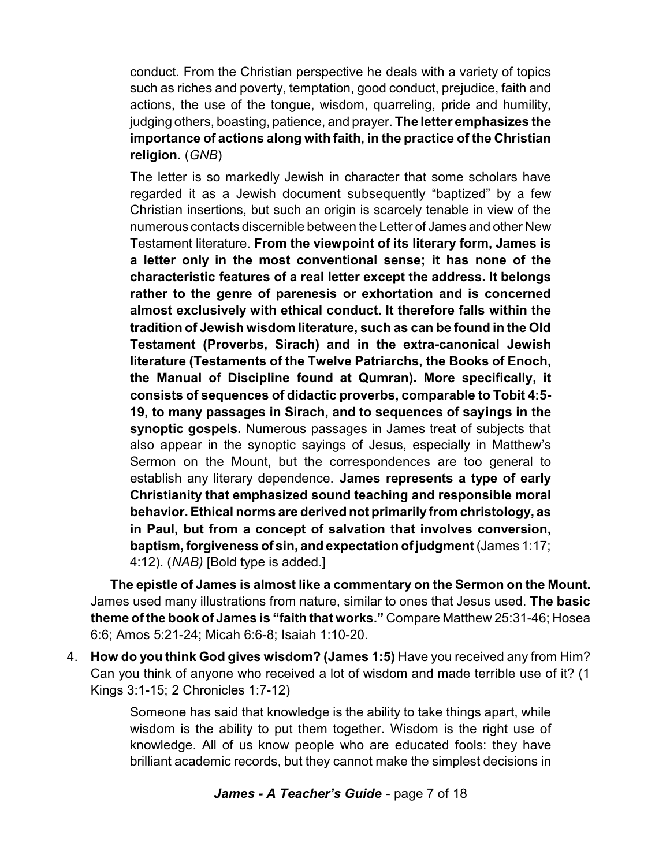conduct. From the Christian perspective he deals with a variety of topics such as riches and poverty, temptation, good conduct, prejudice, faith and actions, the use of the tongue, wisdom, quarreling, pride and humility, judging others, boasting, patience, and prayer. **The letter emphasizes the importance of actions along with faith, in the practice of the Christian religion.** (*GNB*)

The letter is so markedly Jewish in character that some scholars have regarded it as a Jewish document subsequently "baptized" by a few Christian insertions, but such an origin is scarcely tenable in view of the numerous contacts discernible between the Letter of James and other New Testament literature. **From the viewpoint of its literary form, James is a letter only in the most conventional sense; it has none of the characteristic features of a real letter except the address. It belongs rather to the genre of parenesis or exhortation and is concerned almost exclusively with ethical conduct. It therefore falls within the tradition of Jewish wisdom literature, such as can be found in the Old Testament (Proverbs, Sirach) and in the extra-canonical Jewish literature (Testaments of the Twelve Patriarchs, the Books of Enoch, the Manual of Discipline found at Qumran). More specifically, it consists of sequences of didactic proverbs, comparable to Tobit 4:5- 19, to many passages in Sirach, and to sequences of sayings in the synoptic gospels.** Numerous passages in James treat of subjects that also appear in the synoptic sayings of Jesus, especially in Matthew's Sermon on the Mount, but the correspondences are too general to establish any literary dependence. **James represents a type of early Christianity that emphasized sound teaching and responsible moral behavior. Ethical norms are derived not primarily from christology, as in Paul, but from a concept of salvation that involves conversion, baptism, forgiveness of sin, and expectation of judgment**(James 1:17; 4:12). (*NAB)* [Bold type is added.]

**The epistle of James is almost like a commentary on the Sermon on the Mount.** James used many illustrations from nature, similar to ones that Jesus used. **The basic theme of the book of James is "faith that works."** Compare Matthew 25:31-46; Hosea 6:6; Amos 5:21-24; Micah 6:6-8; Isaiah 1:10-20.

4. **How do you think God gives wisdom? (James 1:5)** Have you received any from Him? Can you think of anyone who received a lot of wisdom and made terrible use of it? (1 Kings 3:1-15; 2 Chronicles 1:7-12)

> Someone has said that knowledge is the ability to take things apart, while wisdom is the ability to put them together. Wisdom is the right use of knowledge. All of us know people who are educated fools: they have brilliant academic records, but they cannot make the simplest decisions in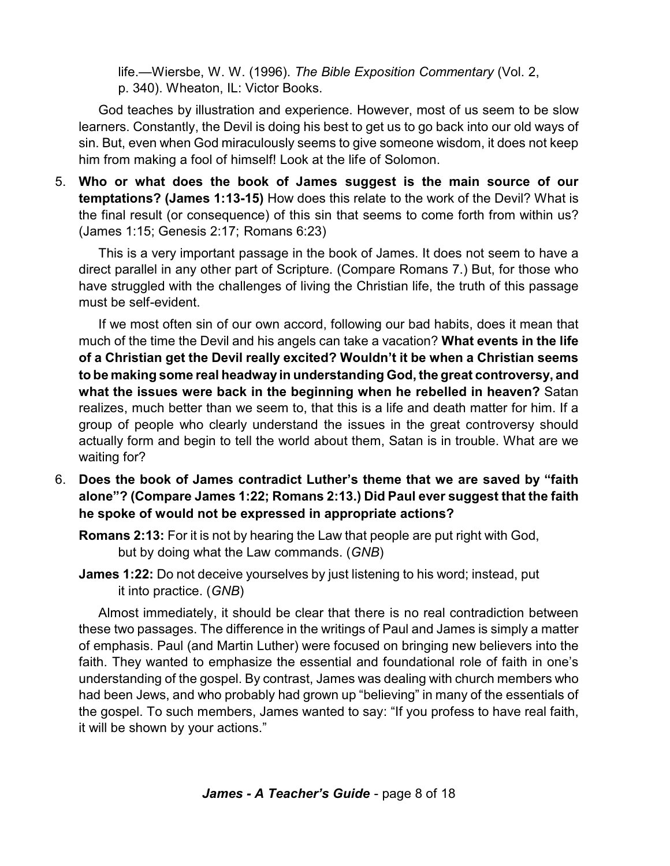life.—Wiersbe, W. W. (1996). *The Bible Exposition Commentary* (Vol. 2, p. 340). Wheaton, IL: Victor Books.

God teaches by illustration and experience. However, most of us seem to be slow learners. Constantly, the Devil is doing his best to get us to go back into our old ways of sin. But, even when God miraculously seems to give someone wisdom, it does not keep him from making a fool of himself! Look at the life of Solomon.

5. **Who or what does the book of James suggest is the main source of our temptations? (James 1:13-15)** How does this relate to the work of the Devil? What is the final result (or consequence) of this sin that seems to come forth from within us? (James 1:15; Genesis 2:17; Romans 6:23)

This is a very important passage in the book of James. It does not seem to have a direct parallel in any other part of Scripture. (Compare Romans 7.) But, for those who have struggled with the challenges of living the Christian life, the truth of this passage must be self-evident.

If we most often sin of our own accord, following our bad habits, does it mean that much of the time the Devil and his angels can take a vacation? **What events in the life of a Christian get the Devil really excited? Wouldn't it be when a Christian seems to be making some real headway in understanding God, the great controversy, and what the issues were back in the beginning when he rebelled in heaven?** Satan realizes, much better than we seem to, that this is a life and death matter for him. If a group of people who clearly understand the issues in the great controversy should actually form and begin to tell the world about them, Satan is in trouble. What are we waiting for?

- 6. **Does the book of James contradict Luther's theme that we are saved by "faith alone"? (Compare James 1:22; Romans 2:13.) Did Paul ever suggest that the faith he spoke of would not be expressed in appropriate actions?**
	- **Romans 2:13:** For it is not by hearing the Law that people are put right with God, but by doing what the Law commands. (*GNB*)
	- **James 1:22:** Do not deceive yourselves by just listening to his word; instead, put it into practice. (*GNB*)

Almost immediately, it should be clear that there is no real contradiction between these two passages. The difference in the writings of Paul and James is simply a matter of emphasis. Paul (and Martin Luther) were focused on bringing new believers into the faith. They wanted to emphasize the essential and foundational role of faith in one's understanding of the gospel. By contrast, James was dealing with church members who had been Jews, and who probably had grown up "believing" in many of the essentials of the gospel. To such members, James wanted to say: "If you profess to have real faith, it will be shown by your actions."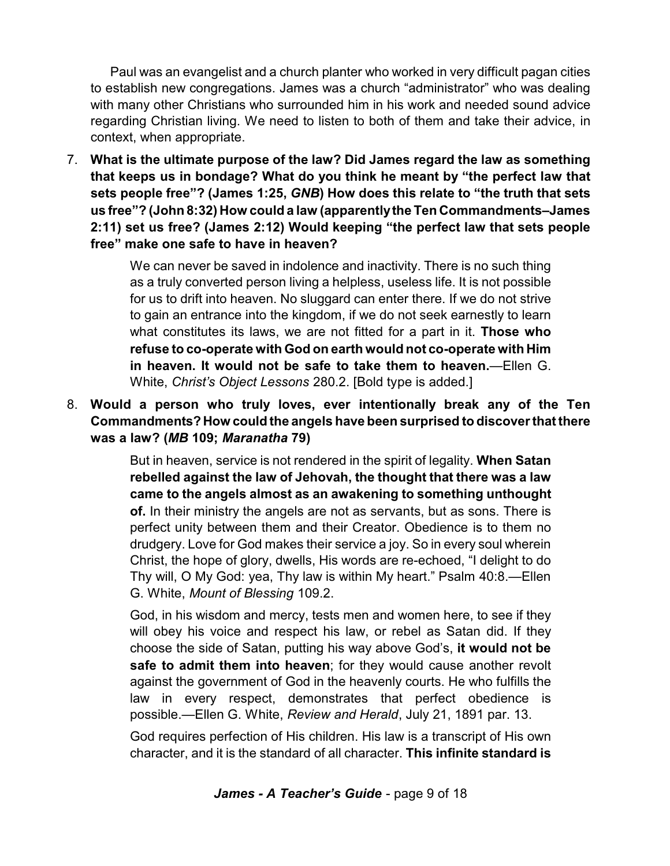Paul was an evangelist and a church planter who worked in very difficult pagan cities to establish new congregations. James was a church "administrator" who was dealing with many other Christians who surrounded him in his work and needed sound advice regarding Christian living. We need to listen to both of them and take their advice, in context, when appropriate.

7. **What is the ultimate purpose of the law? Did James regard the law as something that keeps us in bondage? What do you think he meant by "the perfect law that sets people free"? (James 1:25,** *GNB***) How does this relate to "the truth that sets us free"? (John 8:32) How could a law (apparentlythe Ten Commandments–James 2:11) set us free? (James 2:12) Would keeping "the perfect law that sets people free" make one safe to have in heaven?** 

> We can never be saved in indolence and inactivity. There is no such thing as a truly converted person living a helpless, useless life. It is not possible for us to drift into heaven. No sluggard can enter there. If we do not strive to gain an entrance into the kingdom, if we do not seek earnestly to learn what constitutes its laws, we are not fitted for a part in it. **Those who refuse to co-operate with God on earth would not co-operate with Him in heaven. It would not be safe to take them to heaven.**—Ellen G. White, *Christ's Object Lessons* 280.2. [Bold type is added.]

8. **Would a person who truly loves, ever intentionally break any of the Ten Commandments? How could the angels have been surprised to discover that there was a law? (***MB* **109;** *Maranatha* **79)**

> But in heaven, service is not rendered in the spirit of legality. **When Satan rebelled against the law of Jehovah, the thought that there was a law came to the angels almost as an awakening to something unthought of.** In their ministry the angels are not as servants, but as sons. There is perfect unity between them and their Creator. Obedience is to them no drudgery. Love for God makes their service a joy. So in every soul wherein Christ, the hope of glory, dwells, His words are re-echoed, "I delight to do Thy will, O My God: yea, Thy law is within My heart." Psalm 40:8.—Ellen G. White, *Mount of Blessing* 109.2.

> God, in his wisdom and mercy, tests men and women here, to see if they will obey his voice and respect his law, or rebel as Satan did. If they choose the side of Satan, putting his way above God's, **it would not be safe to admit them into heaven**; for they would cause another revolt against the government of God in the heavenly courts. He who fulfills the law in every respect, demonstrates that perfect obedience is possible.—Ellen G. White, *Review and Herald*, July 21, 1891 par. 13.

> God requires perfection of His children. His law is a transcript of His own character, and it is the standard of all character. **This infinite standard is**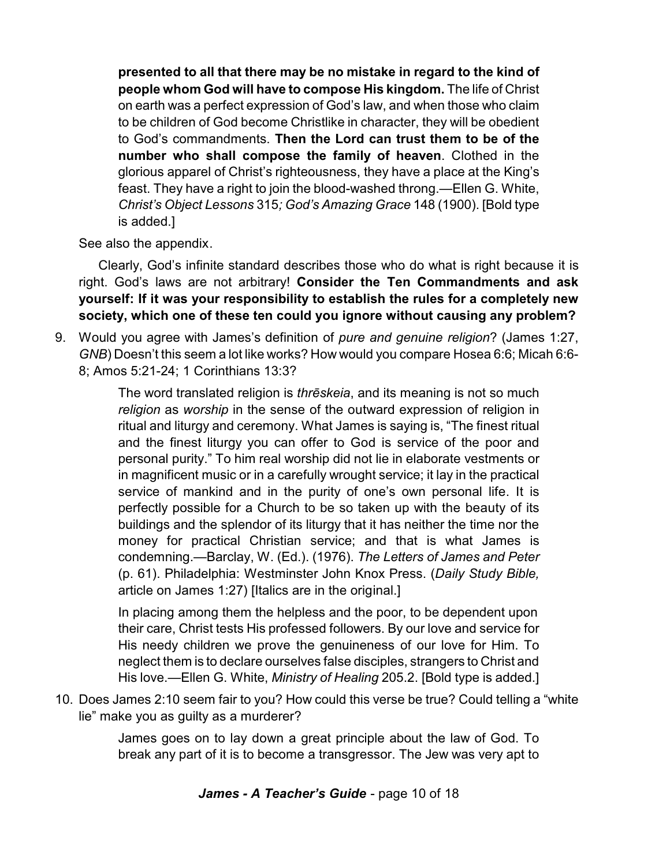**presented to all that there may be no mistake in regard to the kind of people whom God will have to compose His kingdom.** The life of Christ on earth was a perfect expression of God's law, and when those who claim to be children of God become Christlike in character, they will be obedient to God's commandments. **Then the Lord can trust them to be of the number who shall compose the family of heaven**. Clothed in the glorious apparel of Christ's righteousness, they have a place at the King's feast. They have a right to join the blood-washed throng.—Ellen G. White, *Christ's Object Lessons* 315*; God's Amazing Grace* 148 (1900). [Bold type is added.]

See also the appendix.

Clearly, God's infinite standard describes those who do what is right because it is right. God's laws are not arbitrary! **Consider the Ten Commandments and ask yourself: If it was your responsibility to establish the rules for a completely new society, which one of these ten could you ignore without causing any problem?**

9. Would you agree with James's definition of *pure and genuine religion*? (James 1:27, *GNB*) Doesn't this seem a lot like works? How would you compare Hosea 6:6; Micah 6:6- 8; Amos 5:21-24; 1 Corinthians 13:3?

> The word translated religion is *thrçskeia*, and its meaning is not so much *religion* as *worship* in the sense of the outward expression of religion in ritual and liturgy and ceremony. What James is saying is, "The finest ritual and the finest liturgy you can offer to God is service of the poor and personal purity." To him real worship did not lie in elaborate vestments or in magnificent music or in a carefully wrought service; it lay in the practical service of mankind and in the purity of one's own personal life. It is perfectly possible for a Church to be so taken up with the beauty of its buildings and the splendor of its liturgy that it has neither the time nor the money for practical Christian service; and that is what James is condemning.—Barclay, W. (Ed.). (1976). *The Letters of James and Peter* (p. 61). Philadelphia: Westminster John Knox Press. (*Daily Study Bible,* article on James 1:27) [Italics are in the original.]

> In placing among them the helpless and the poor, to be dependent upon their care, Christ tests His professed followers. By our love and service for His needy children we prove the genuineness of our love for Him. To neglect them is to declare ourselves false disciples, strangers to Christ and His love.—Ellen G. White, *Ministry of Healing* 205.2. [Bold type is added.]

10. Does James 2:10 seem fair to you? How could this verse be true? Could telling a "white lie" make you as guilty as a murderer?

> James goes on to lay down a great principle about the law of God. To break any part of it is to become a transgressor. The Jew was very apt to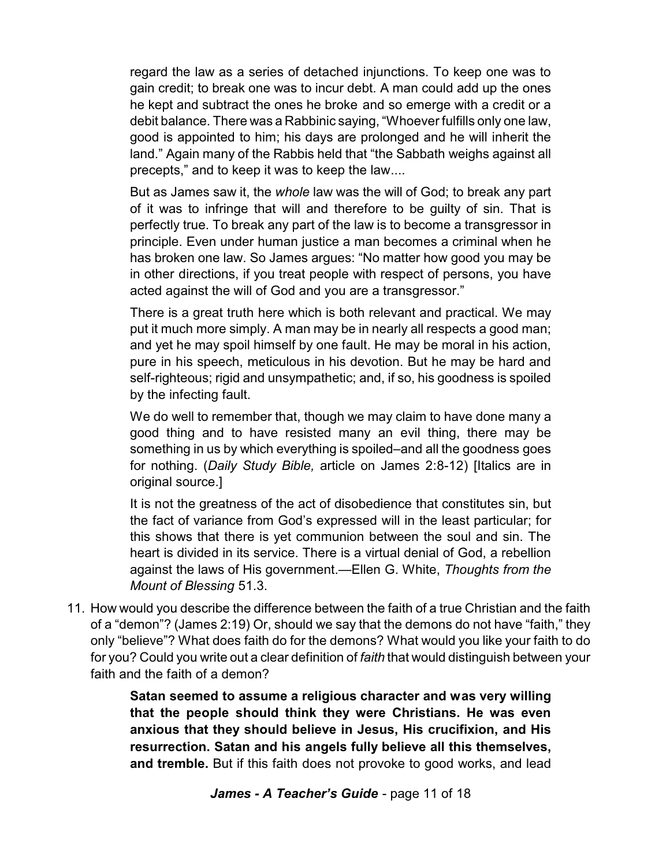regard the law as a series of detached injunctions. To keep one was to gain credit; to break one was to incur debt. A man could add up the ones he kept and subtract the ones he broke and so emerge with a credit or a debit balance. There was a Rabbinic saying, "Whoever fulfills only one law, good is appointed to him; his days are prolonged and he will inherit the land." Again many of the Rabbis held that "the Sabbath weighs against all precepts," and to keep it was to keep the law....

But as James saw it, the *whole* law was the will of God; to break any part of it was to infringe that will and therefore to be guilty of sin. That is perfectly true. To break any part of the law is to become a transgressor in principle. Even under human justice a man becomes a criminal when he has broken one law. So James argues: "No matter how good you may be in other directions, if you treat people with respect of persons, you have acted against the will of God and you are a transgressor."

There is a great truth here which is both relevant and practical. We may put it much more simply. A man may be in nearly all respects a good man; and yet he may spoil himself by one fault. He may be moral in his action, pure in his speech, meticulous in his devotion. But he may be hard and self-righteous; rigid and unsympathetic; and, if so, his goodness is spoiled by the infecting fault.

We do well to remember that, though we may claim to have done many a good thing and to have resisted many an evil thing, there may be something in us by which everything is spoiled–and all the goodness goes for nothing. (*Daily Study Bible,* article on James 2:8-12) [Italics are in original source.]

It is not the greatness of the act of disobedience that constitutes sin, but the fact of variance from God's expressed will in the least particular; for this shows that there is yet communion between the soul and sin. The heart is divided in its service. There is a virtual denial of God, a rebellion against the laws of His government.—Ellen G. White, *Thoughts from the Mount of Blessing* 51.3.

11. How would you describe the difference between the faith of a true Christian and the faith of a "demon"? (James 2:19) Or, should we say that the demons do not have "faith," they only "believe"? What does faith do for the demons? What would you like your faith to do for you? Could you write out a clear definition of *faith* that would distinguish between your faith and the faith of a demon?

> **Satan seemed to assume a religious character and was very willing that the people should think they were Christians. He was even anxious that they should believe in Jesus, His crucifixion, and His resurrection. Satan and his angels fully believe all this themselves, and tremble.** But if this faith does not provoke to good works, and lead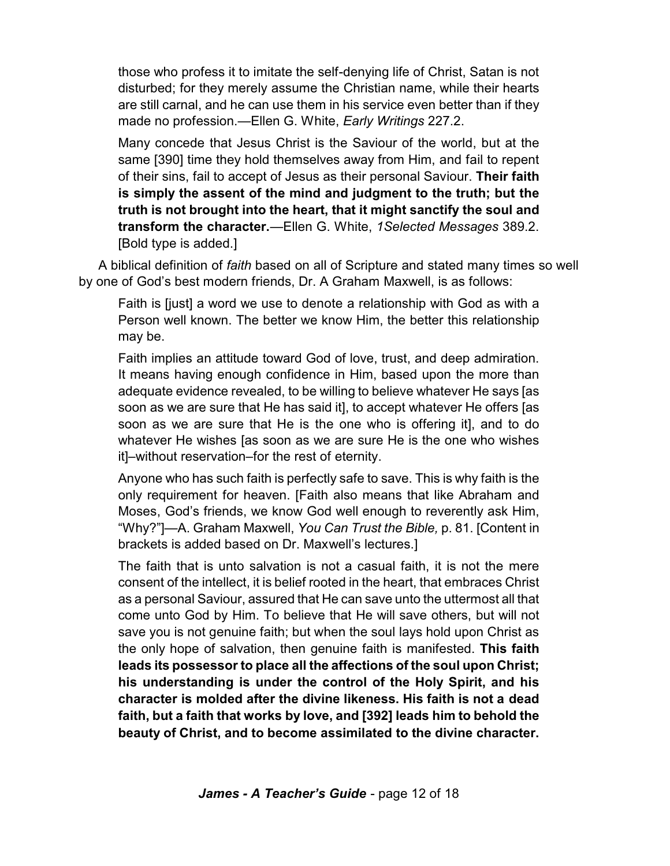those who profess it to imitate the self-denying life of Christ, Satan is not disturbed; for they merely assume the Christian name, while their hearts are still carnal, and he can use them in his service even better than if they made no profession.—Ellen G. White, *Early Writings* 227.2.

Many concede that Jesus Christ is the Saviour of the world, but at the same [390] time they hold themselves away from Him, and fail to repent of their sins, fail to accept of Jesus as their personal Saviour. **Their faith is simply the assent of the mind and judgment to the truth; but the truth is not brought into the heart, that it might sanctify the soul and transform the character.**—Ellen G. White, *1Selected Messages* 389.2. [Bold type is added.]

A biblical definition of *faith* based on all of Scripture and stated many times so well by one of God's best modern friends, Dr. A Graham Maxwell, is as follows:

Faith is [just] a word we use to denote a relationship with God as with a Person well known. The better we know Him, the better this relationship may be.

Faith implies an attitude toward God of love, trust, and deep admiration. It means having enough confidence in Him, based upon the more than adequate evidence revealed, to be willing to believe whatever He says [as soon as we are sure that He has said it], to accept whatever He offers [as soon as we are sure that He is the one who is offering it], and to do whatever He wishes [as soon as we are sure He is the one who wishes it]–without reservation–for the rest of eternity.

Anyone who has such faith is perfectly safe to save. This is why faith is the only requirement for heaven. [Faith also means that like Abraham and Moses, God's friends, we know God well enough to reverently ask Him, "Why?"]—A. Graham Maxwell, *You Can Trust the Bible,* p. 81. [Content in brackets is added based on Dr. Maxwell's lectures.]

The faith that is unto salvation is not a casual faith, it is not the mere consent of the intellect, it is belief rooted in the heart, that embraces Christ as a personal Saviour, assured that He can save unto the uttermost all that come unto God by Him. To believe that He will save others, but will not save you is not genuine faith; but when the soul lays hold upon Christ as the only hope of salvation, then genuine faith is manifested. **This faith leads its possessor to place all the affections of the soul upon Christ; his understanding is under the control of the Holy Spirit, and his character is molded after the divine likeness. His faith is not a dead faith, but a faith that works by love, and [392] leads him to behold the beauty of Christ, and to become assimilated to the divine character.**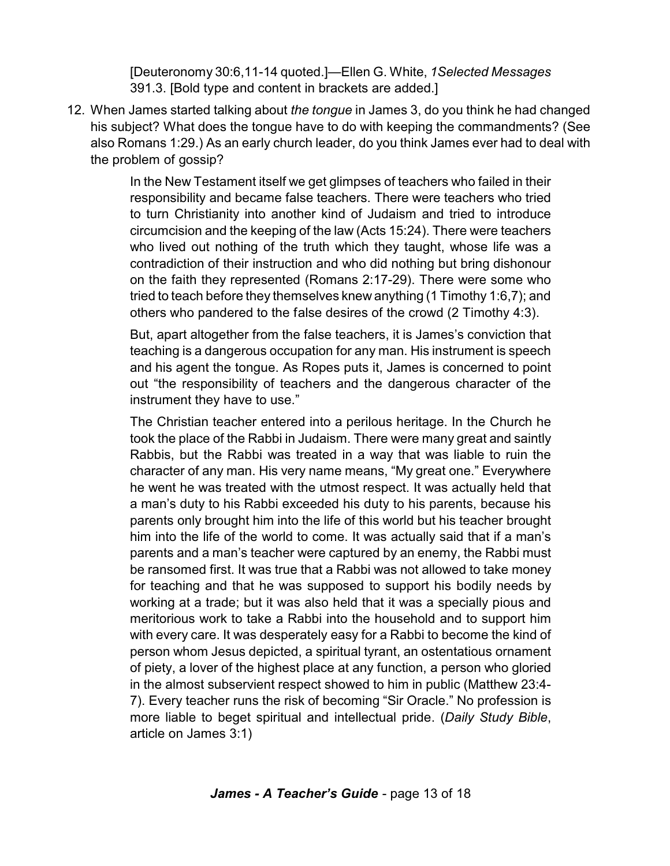[Deuteronomy 30:6,11-14 quoted.]—Ellen G. White, *1Selected Messages* 391.3. [Bold type and content in brackets are added.]

12. When James started talking about *the tongue* in James 3, do you think he had changed his subject? What does the tongue have to do with keeping the commandments? (See also Romans 1:29.) As an early church leader, do you think James ever had to deal with the problem of gossip?

> In the New Testament itself we get glimpses of teachers who failed in their responsibility and became false teachers. There were teachers who tried to turn Christianity into another kind of Judaism and tried to introduce circumcision and the keeping of the law (Acts 15:24). There were teachers who lived out nothing of the truth which they taught, whose life was a contradiction of their instruction and who did nothing but bring dishonour on the faith they represented (Romans 2:17-29). There were some who tried to teach before they themselves knew anything (1 Timothy 1:6,7); and others who pandered to the false desires of the crowd (2 Timothy 4:3).

> But, apart altogether from the false teachers, it is James's conviction that teaching is a dangerous occupation for any man. His instrument is speech and his agent the tongue. As Ropes puts it, James is concerned to point out "the responsibility of teachers and the dangerous character of the instrument they have to use."

> The Christian teacher entered into a perilous heritage. In the Church he took the place of the Rabbi in Judaism. There were many great and saintly Rabbis, but the Rabbi was treated in a way that was liable to ruin the character of any man. His very name means, "My great one." Everywhere he went he was treated with the utmost respect. It was actually held that a man's duty to his Rabbi exceeded his duty to his parents, because his parents only brought him into the life of this world but his teacher brought him into the life of the world to come. It was actually said that if a man's parents and a man's teacher were captured by an enemy, the Rabbi must be ransomed first. It was true that a Rabbi was not allowed to take money for teaching and that he was supposed to support his bodily needs by working at a trade; but it was also held that it was a specially pious and meritorious work to take a Rabbi into the household and to support him with every care. It was desperately easy for a Rabbi to become the kind of person whom Jesus depicted, a spiritual tyrant, an ostentatious ornament of piety, a lover of the highest place at any function, a person who gloried in the almost subservient respect showed to him in public (Matthew 23:4- 7). Every teacher runs the risk of becoming "Sir Oracle." No profession is more liable to beget spiritual and intellectual pride. (*Daily Study Bible*, article on James 3:1)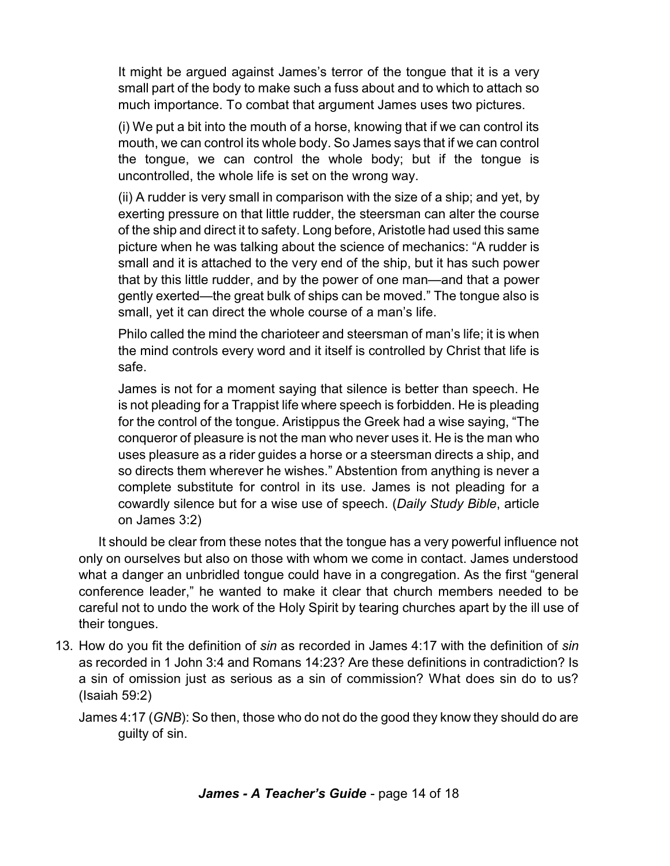It might be argued against James's terror of the tongue that it is a very small part of the body to make such a fuss about and to which to attach so much importance. To combat that argument James uses two pictures.

(i) We put a bit into the mouth of a horse, knowing that if we can control its mouth, we can control its whole body. So James says that if we can control the tongue, we can control the whole body; but if the tongue is uncontrolled, the whole life is set on the wrong way.

(ii) A rudder is very small in comparison with the size of a ship; and yet, by exerting pressure on that little rudder, the steersman can alter the course of the ship and direct it to safety. Long before, Aristotle had used this same picture when he was talking about the science of mechanics: "A rudder is small and it is attached to the very end of the ship, but it has such power that by this little rudder, and by the power of one man—and that a power gently exerted—the great bulk of ships can be moved." The tongue also is small, yet it can direct the whole course of a man's life.

Philo called the mind the charioteer and steersman of man's life; it is when the mind controls every word and it itself is controlled by Christ that life is safe.

James is not for a moment saying that silence is better than speech. He is not pleading for a Trappist life where speech is forbidden. He is pleading for the control of the tongue. Aristippus the Greek had a wise saying, "The conqueror of pleasure is not the man who never uses it. He is the man who uses pleasure as a rider guides a horse or a steersman directs a ship, and so directs them wherever he wishes." Abstention from anything is never a complete substitute for control in its use. James is not pleading for a cowardly silence but for a wise use of speech. (*Daily Study Bible*, article on James 3:2)

It should be clear from these notes that the tongue has a very powerful influence not only on ourselves but also on those with whom we come in contact. James understood what a danger an unbridled tongue could have in a congregation. As the first "general conference leader," he wanted to make it clear that church members needed to be careful not to undo the work of the Holy Spirit by tearing churches apart by the ill use of their tongues.

- 13. How do you fit the definition of *sin* as recorded in James 4:17 with the definition of *sin* as recorded in 1 John 3:4 and Romans 14:23? Are these definitions in contradiction? Is a sin of omission just as serious as a sin of commission? What does sin do to us? (Isaiah 59:2)
	- James 4:17 (*GNB*): So then, those who do not do the good they know they should do are guilty of sin.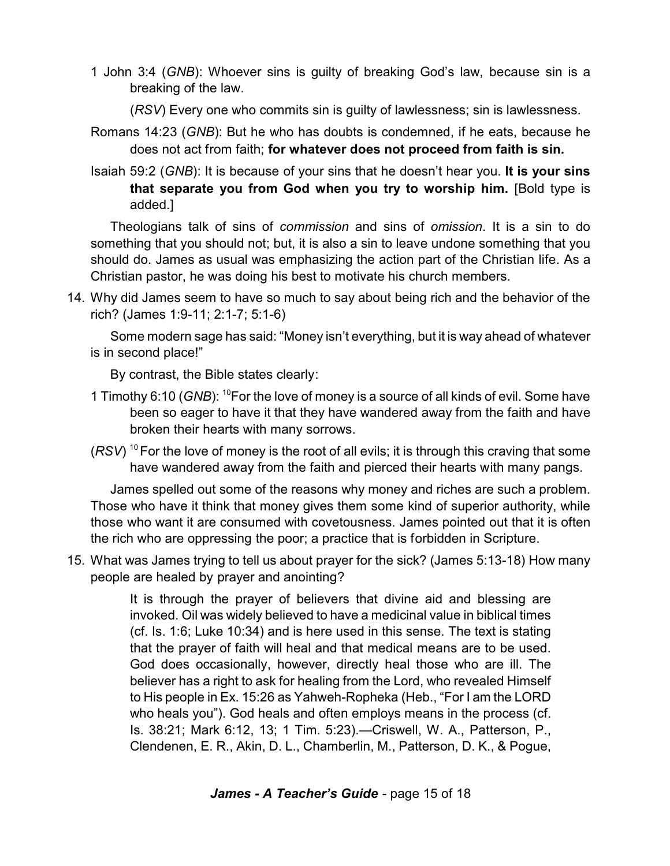1 John 3:4 (*GNB*): Whoever sins is guilty of breaking God's law, because sin is a breaking of the law.

(*RSV*) Every one who commits sin is guilty of lawlessness; sin is lawlessness.

- Romans 14:23 (*GNB*): But he who has doubts is condemned, if he eats, because he does not act from faith; **for whatever does not proceed from faith is sin.**
- Isaiah 59:2 (*GNB*): It is because of your sins that he doesn't hear you. **It is your sins that separate you from God when you try to worship him.** [Bold type is added.]

Theologians talk of sins of *commission* and sins of *omission*. It is a sin to do something that you should not; but, it is also a sin to leave undone something that you should do. James as usual was emphasizing the action part of the Christian life. As a Christian pastor, he was doing his best to motivate his church members.

14. Why did James seem to have so much to say about being rich and the behavior of the rich? (James 1:9-11; 2:1-7; 5:1-6)

Some modern sage has said: "Money isn't everything, but it is way ahead of whatever is in second place!"

By contrast, the Bible states clearly:

- 1 Timothy 6:10 (*GNB*): <sup>10</sup>For the love of money is a source of all kinds of evil. Some have been so eager to have it that they have wandered away from the faith and have broken their hearts with many sorrows.
- ( $RSV$ ) <sup>10</sup> For the love of money is the root of all evils; it is through this craving that some have wandered away from the faith and pierced their hearts with many pangs.

James spelled out some of the reasons why money and riches are such a problem. Those who have it think that money gives them some kind of superior authority, while those who want it are consumed with covetousness. James pointed out that it is often the rich who are oppressing the poor; a practice that is forbidden in Scripture.

15. What was James trying to tell us about prayer for the sick? (James 5:13-18) How many people are healed by prayer and anointing?

> It is through the prayer of believers that divine aid and blessing are invoked. Oil was widely believed to have a medicinal value in biblical times (cf. Is. 1:6; Luke 10:34) and is here used in this sense. The text is stating that the prayer of faith will heal and that medical means are to be used. God does occasionally, however, directly heal those who are ill. The believer has a right to ask for healing from the Lord, who revealed Himself to His people in Ex. 15:26 as Yahweh-Ropheka (Heb., "For I am the LORD who heals you"). God heals and often employs means in the process (cf. Is. 38:21; Mark 6:12, 13; 1 Tim. 5:23).—Criswell, W. A., Patterson, P., Clendenen, E. R., Akin, D. L., Chamberlin, M., Patterson, D. K., & Pogue,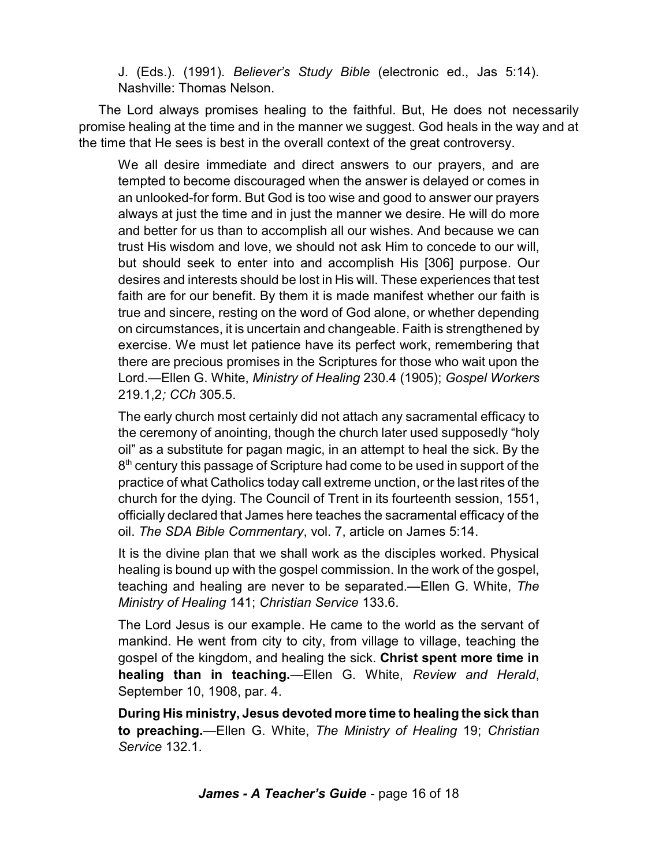J. (Eds.). (1991). *Believer's Study Bible* (electronic ed., Jas 5:14). Nashville: Thomas Nelson.

The Lord always promises healing to the faithful. But, He does not necessarily promise healing at the time and in the manner we suggest. God heals in the way and at the time that He sees is best in the overall context of the great controversy.

We all desire immediate and direct answers to our prayers, and are tempted to become discouraged when the answer is delayed or comes in an unlooked-for form. But God is too wise and good to answer our prayers always at just the time and in just the manner we desire. He will do more and better for us than to accomplish all our wishes. And because we can trust His wisdom and love, we should not ask Him to concede to our will, but should seek to enter into and accomplish His [306] purpose. Our desires and interests should be lost in His will. These experiences that test faith are for our benefit. By them it is made manifest whether our faith is true and sincere, resting on the word of God alone, or whether depending on circumstances, it is uncertain and changeable. Faith is strengthened by exercise. We must let patience have its perfect work, remembering that there are precious promises in the Scriptures for those who wait upon the Lord.—Ellen G. White, *Ministry of Healing* 230.4 (1905); *Gospel Workers* 219.1,2*; CCh* 305.5.

The early church most certainly did not attach any sacramental efficacy to the ceremony of anointing, though the church later used supposedly "holy oil" as a substitute for pagan magic, in an attempt to heal the sick. By the 8<sup>th</sup> century this passage of Scripture had come to be used in support of the practice of what Catholics today call extreme unction, or the last rites of the church for the dying. The Council of Trent in its fourteenth session, 1551, officially declared that James here teaches the sacramental efficacy of the oil. *The SDA Bible Commentary*, vol. 7, article on James 5:14.

It is the divine plan that we shall work as the disciples worked. Physical healing is bound up with the gospel commission. In the work of the gospel, teaching and healing are never to be separated.—Ellen G. White, *The Ministry of Healing* 141; *Christian Service* 133.6.

The Lord Jesus is our example. He came to the world as the servant of mankind. He went from city to city, from village to village, teaching the gospel of the kingdom, and healing the sick. **Christ spent more time in healing than in teaching.**—Ellen G. White, *Review and Herald*, September 10, 1908, par. 4.

**During His ministry, Jesus devoted more time to healing the sick than to preaching.**—Ellen G. White, *The Ministry of Healing* 19; *Christian Service* 132.1.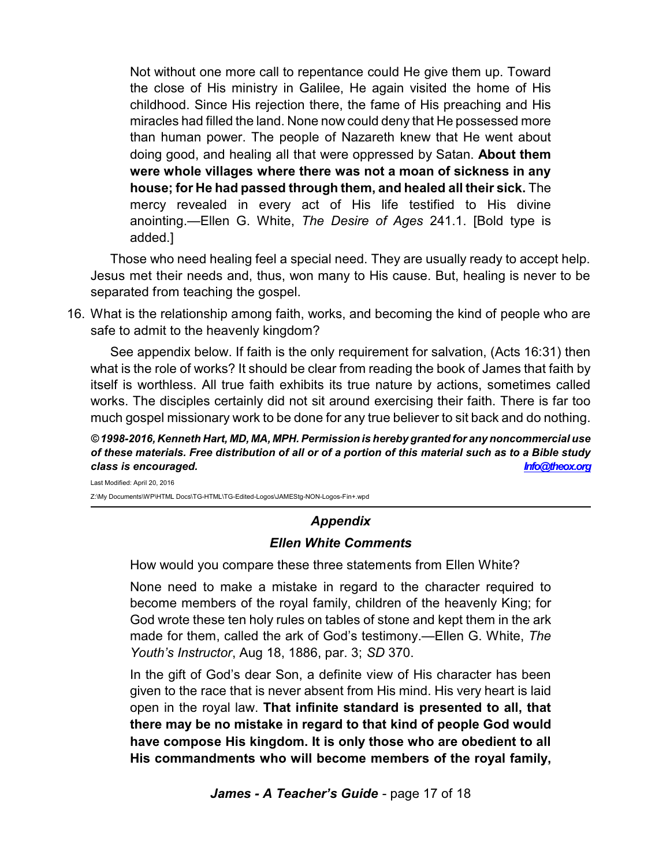Not without one more call to repentance could He give them up. Toward the close of His ministry in Galilee, He again visited the home of His childhood. Since His rejection there, the fame of His preaching and His miracles had filled the land. None now could deny that He possessed more than human power. The people of Nazareth knew that He went about doing good, and healing all that were oppressed by Satan. **About them were whole villages where there was not a moan of sickness in any house; for He had passed through them, and healed all their sick.** The mercy revealed in every act of His life testified to His divine anointing.—Ellen G. White, *The Desire of Ages* 241.1. [Bold type is added.]

Those who need healing feel a special need. They are usually ready to accept help. Jesus met their needs and, thus, won many to His cause. But, healing is never to be separated from teaching the gospel.

16. What is the relationship among faith, works, and becoming the kind of people who are safe to admit to the heavenly kingdom?

See appendix below. If faith is the only requirement for salvation, (Acts 16:31) then what is the role of works? It should be clear from reading the book of James that faith by itself is worthless. All true faith exhibits its true nature by actions, sometimes called works. The disciples certainly did not sit around exercising their faith. There is far too much gospel missionary work to be done for any true believer to sit back and do nothing.

*© 1998-2016, Kenneth Hart, MD, MA, MPH. Permission is hereby granted for any noncommercial use of these materials. Free distribution of all or of a portion of this material such as to a Bible study class is encouraged. [Info@theox.org](mailto:Info@theox.org)*

Last Modified: April 20, 2016 Z:\My Documents\WP\HTML Docs\TG-HTML\TG-Edited-Logos\JAMEStg-NON-Logos-Fin+.wpd

### *Appendix*

### *Ellen White Comments*

How would you compare these three statements from Ellen White?

None need to make a mistake in regard to the character required to become members of the royal family, children of the heavenly King; for God wrote these ten holy rules on tables of stone and kept them in the ark made for them, called the ark of God's testimony.—Ellen G. White, *The Youth's Instructor*, Aug 18, 1886, par. 3; *SD* 370.

In the gift of God's dear Son, a definite view of His character has been given to the race that is never absent from His mind. His very heart is laid open in the royal law. **That infinite standard is presented to all, that there may be no mistake in regard to that kind of people God would have compose His kingdom. It is only those who are obedient to all His commandments who will become members of the royal family,**